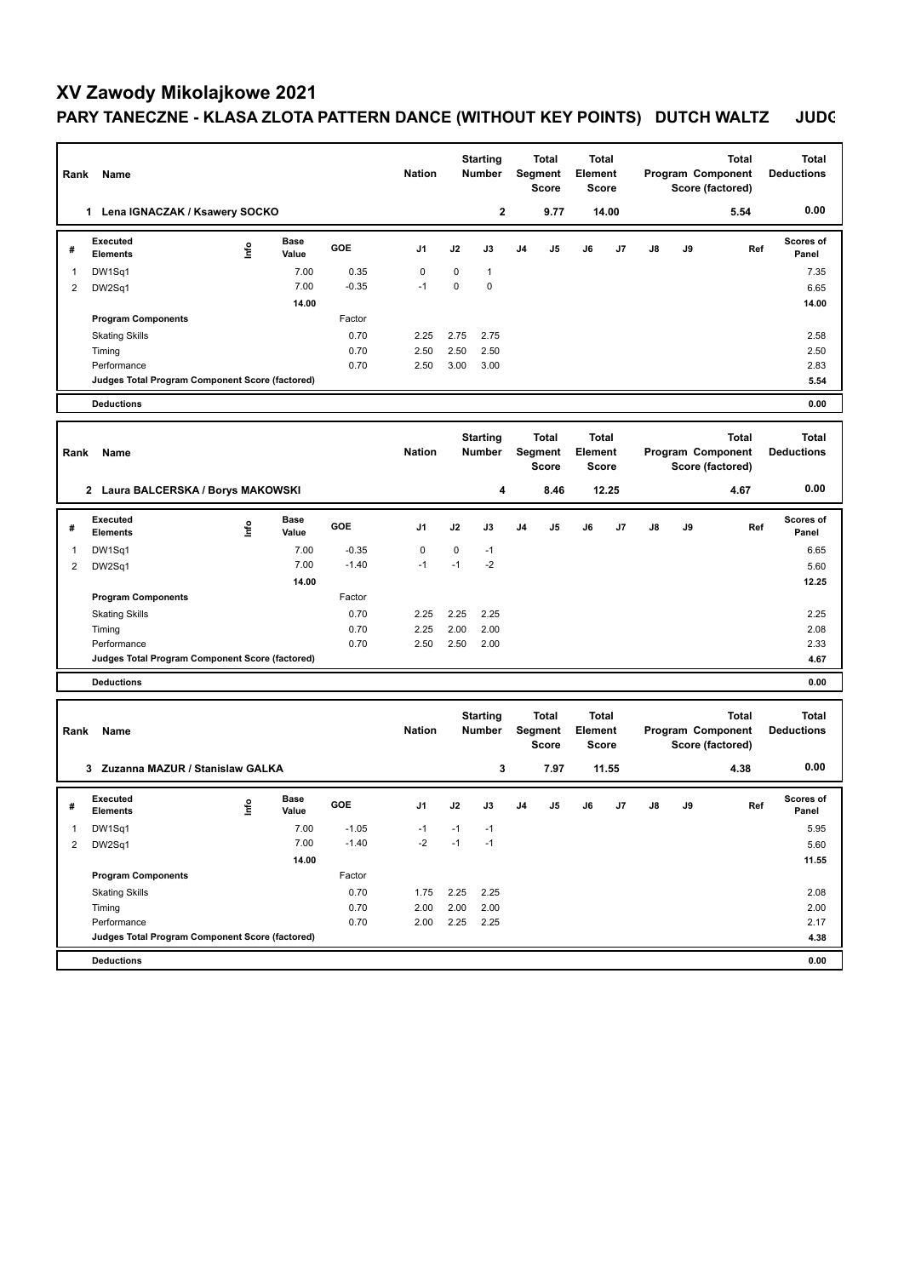## **XV Zawody Mikolajkowe 2021 PARY TANECZNE - KLASA ZLOTA PATTERN DANCE (WITHOUT KEY POINTS) DUTCH WALTZ JUDG**

| Rank                              | Name                                            |      | <b>Starting</b><br><b>Nation</b><br><b>Number</b> |         |                 | <b>Total</b><br>Segment<br><b>Score</b> |               | <b>Total</b><br>Element<br><b>Score</b> |                                | <b>Total</b><br>Program Component<br>Score (factored) |              |                                          | <b>Total</b><br><b>Deductions</b> |              |                                   |
|-----------------------------------|-------------------------------------------------|------|---------------------------------------------------|---------|-----------------|-----------------------------------------|---------------|-----------------------------------------|--------------------------------|-------------------------------------------------------|--------------|------------------------------------------|-----------------------------------|--------------|-----------------------------------|
|                                   | 1 Lena IGNACZAK / Ksawery SOCKO                 |      |                                                   |         |                 |                                         | $\mathbf{2}$  |                                         | 9.77                           |                                                       | 14.00        |                                          |                                   | 5.54         | 0.00                              |
| #                                 | <b>Executed</b><br><b>Elements</b>              | lnfo | <b>Base</b><br>Value                              | GOE     | J <sub>1</sub>  | J2                                      | J3            | J <sub>4</sub>                          | J5                             | J6                                                    | J7           | J8                                       | J9                                | Ref          | Scores of<br>Panel                |
| $\mathbf{1}$                      | DW1Sq1                                          |      | 7.00                                              | 0.35    | $\mathbf 0$     | $\mathbf 0$                             | $\mathbf{1}$  |                                         |                                |                                                       |              |                                          |                                   |              | 7.35                              |
| $\overline{2}$                    | DW2Sq1                                          |      | 7.00                                              | $-0.35$ | $-1$            | $\mathbf 0$                             | 0             |                                         |                                |                                                       |              |                                          |                                   |              | 6.65                              |
|                                   |                                                 |      | 14.00                                             |         |                 |                                         |               |                                         |                                |                                                       |              |                                          |                                   |              | 14.00                             |
|                                   | <b>Program Components</b>                       |      |                                                   | Factor  |                 |                                         |               |                                         |                                |                                                       |              |                                          |                                   |              |                                   |
|                                   | <b>Skating Skills</b>                           |      |                                                   | 0.70    | 2.25            | 2.75                                    | 2.75          |                                         |                                |                                                       |              |                                          |                                   |              | 2.58                              |
|                                   | Timing                                          |      |                                                   | 0.70    | 2.50            | 2.50                                    | 2.50          |                                         |                                |                                                       |              |                                          |                                   |              | 2.50                              |
|                                   | Performance                                     |      |                                                   | 0.70    | 2.50            | 3.00                                    | 3.00          |                                         |                                |                                                       |              |                                          |                                   |              | 2.83                              |
|                                   | Judges Total Program Component Score (factored) |      |                                                   |         |                 |                                         |               |                                         |                                |                                                       |              |                                          |                                   |              | 5.54                              |
|                                   | <b>Deductions</b>                               |      |                                                   |         |                 |                                         |               |                                         |                                |                                                       |              |                                          |                                   |              | 0.00                              |
|                                   |                                                 |      |                                                   |         |                 |                                         |               |                                         |                                |                                                       |              |                                          |                                   |              |                                   |
|                                   |                                                 |      |                                                   |         |                 | <b>Starting</b>                         |               | <b>Total</b>                            |                                | <b>Total</b><br>Element                               |              | <b>Total</b><br><b>Program Component</b> |                                   |              | <b>Total</b><br><b>Deductions</b> |
| Rank                              | Name                                            |      |                                                   |         | <b>Nation</b>   |                                         | <b>Number</b> |                                         | <b>Segment</b><br><b>Score</b> |                                                       | <b>Score</b> |                                          | Score (factored)                  |              |                                   |
|                                   | 2 Laura BALCERSKA / Borys MAKOWSKI              |      |                                                   |         |                 |                                         | 4             |                                         | 8.46                           |                                                       | 12.25        |                                          |                                   | 4.67         | 0.00                              |
|                                   | <b>Executed</b>                                 |      | Base                                              |         |                 |                                         |               |                                         |                                |                                                       |              |                                          |                                   |              | Scores of                         |
| #                                 | <b>Elements</b>                                 | lnfo | Value                                             | GOE     | J1              | J2                                      | J3            | J <sub>4</sub>                          | J5                             | J6                                                    | J7           | J8                                       | J9                                | Ref          | Panel                             |
| 1                                 | DW1Sq1                                          |      | 7.00                                              | $-0.35$ | 0               | 0                                       | $-1$          |                                         |                                |                                                       |              |                                          |                                   |              | 6.65                              |
| 2                                 | DW2Sq1                                          |      | 7.00                                              | $-1.40$ | $-1$            | $-1$                                    | $-2$          |                                         |                                |                                                       |              |                                          |                                   |              | 5.60                              |
|                                   |                                                 |      | 14.00                                             |         |                 |                                         |               |                                         |                                |                                                       |              |                                          |                                   |              | 12.25                             |
|                                   | <b>Program Components</b>                       |      |                                                   | Factor  |                 |                                         |               |                                         |                                |                                                       |              |                                          |                                   |              |                                   |
|                                   | <b>Skating Skills</b>                           |      |                                                   | 0.70    | 2.25            | 2.25                                    | 2.25          |                                         |                                |                                                       |              |                                          |                                   |              | 2.25                              |
|                                   | Timing                                          |      |                                                   | 0.70    | 2.25            | 2.00                                    | 2.00          |                                         |                                |                                                       |              |                                          |                                   |              | 2.08                              |
|                                   | Performance                                     |      |                                                   | 0.70    | 2.50            | 2.50                                    | 2.00          |                                         |                                |                                                       |              |                                          |                                   |              | 2.33                              |
|                                   | Judges Total Program Component Score (factored) |      |                                                   |         |                 |                                         |               |                                         |                                |                                                       |              |                                          |                                   |              | 4.67                              |
|                                   | <b>Deductions</b>                               |      |                                                   |         |                 |                                         |               |                                         |                                |                                                       |              |                                          |                                   |              | 0.00                              |
|                                   |                                                 |      |                                                   |         | <b>Starting</b> |                                         | Total         |                                         | Total                          |                                                       |              |                                          | <b>Total</b>                      | <b>Total</b> |                                   |
| Rank                              | Name                                            |      |                                                   |         | <b>Nation</b>   | <b>Number</b>                           |               | Segment<br><b>Score</b>                 |                                | Element<br><b>Score</b>                               |              | Program Component<br>Score (factored)    |                                   |              | <b>Deductions</b>                 |
| 3 Zuzanna MAZUR / Stanislaw GALKA |                                                 |      |                                                   |         |                 |                                         | 3             |                                         | 7.97                           |                                                       | 11.55        |                                          |                                   | 4.38         | 0.00                              |
|                                   |                                                 |      |                                                   |         |                 |                                         |               |                                         |                                |                                                       |              |                                          |                                   |              |                                   |
| #                                 | <b>Executed</b><br><b>Elements</b>              | ۴    | Base<br>Value                                     | GOE     | J1              | J2                                      | J3            | J <sub>4</sub>                          | J5                             | J6                                                    | J7           | J8                                       | J9                                | Ref          | <b>Scores of</b><br>Panel         |
| 1                                 | DW1Sq1                                          |      | 7.00                                              | $-1.05$ | $-1$            | $-1$                                    | $-1$          |                                         |                                |                                                       |              |                                          |                                   |              | 5.95                              |
| $\overline{2}$                    | DW2Sq1                                          |      | 7.00                                              | $-1.40$ | $-2$            | $-1$                                    | $-1$          |                                         |                                |                                                       |              |                                          |                                   |              | 5.60                              |
|                                   |                                                 |      | 14.00                                             |         |                 |                                         |               |                                         |                                |                                                       |              |                                          |                                   |              | 11.55                             |
|                                   | <b>Program Components</b>                       |      |                                                   | Factor  |                 |                                         |               |                                         |                                |                                                       |              |                                          |                                   |              |                                   |
|                                   | <b>Skating Skills</b>                           |      |                                                   | 0.70    | 1.75            | 2.25                                    | 2.25          |                                         |                                |                                                       |              |                                          |                                   |              | 2.08                              |
|                                   | Timing                                          |      |                                                   | 0.70    | 2.00            | 2.00                                    | 2.00          |                                         |                                |                                                       |              |                                          |                                   |              | 2.00                              |
|                                   | Performance                                     |      |                                                   | 0.70    | 2.00            | 2.25                                    | 2.25          |                                         |                                |                                                       |              |                                          |                                   |              | 2.17                              |
|                                   | Judges Total Program Component Score (factored) |      |                                                   |         |                 |                                         |               |                                         |                                |                                                       |              |                                          |                                   |              | 4.38                              |
|                                   | <b>Deductions</b>                               |      |                                                   |         |                 |                                         |               |                                         |                                |                                                       |              |                                          |                                   |              | 0.00                              |